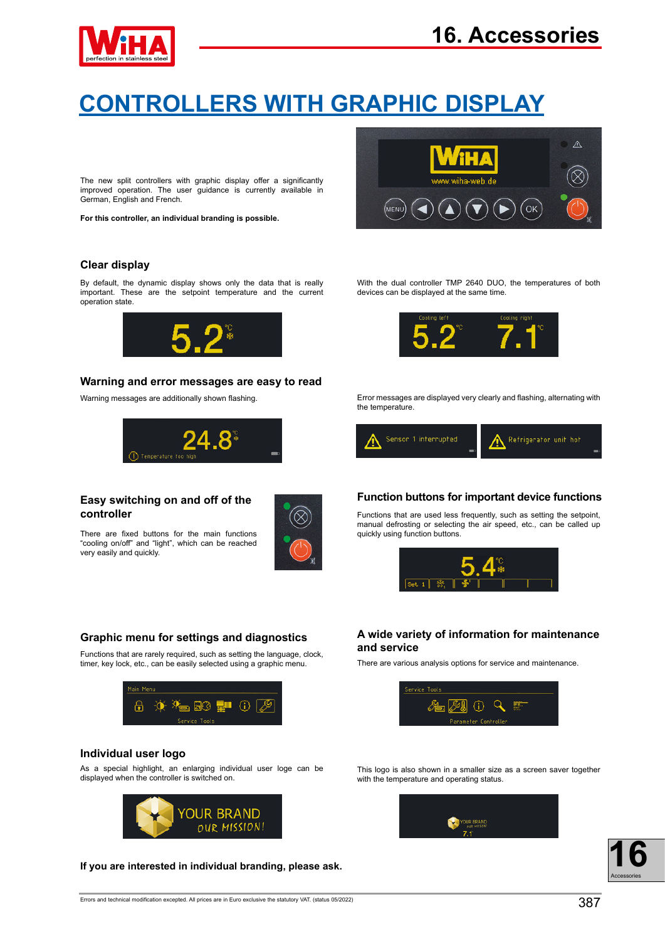

# **CONTROLLERS WITH GRAPHIC DISPLAY**

The new split controllers with graphic display offer a significantly improved operation. The user guidance is currently available in German, English and French.

**For this controller, an individual branding is possible.**

## **Clear display**

By default, the dynamic display shows only the data that is really important. These are the setpoint temperature and the current operation state.



### **Warning and error messages are easy to read**

Warning messages are additionally shown flashing.



# **Easy switching on and off of the**

There are fixed buttons for the main functions "cooling on/off" and "light", which can be reached very easily and quickly.



### **Graphic menu for settings and diagnostics**

Functions that are rarely required, such as setting the language, clock, timer, key lock, etc., can be easily selected using a graphic menu.



### **Individual user logo**

As a special highlight, an enlarging individual user loge can be displayed when the controller is switched on.



**If you are interested in individual branding, please ask.**



With the dual controller TMP 2640 DUO, the temperatures of both devices can be displayed at the same time.



Error messages are displayed very clearly and flashing, alternating with the temperature.



# **Function buttons for important device functions**

**controller Functions that are used less frequently, such as setting the setpoint,** manual defrosting or selecting the air speed, etc., can be called up quickly using function buttons.



# **A wide variety of information for maintenance and service**

There are various analysis options for service and maintenance.



This logo is also shown in a smaller size as a screen saver together with the temperature and operating status.

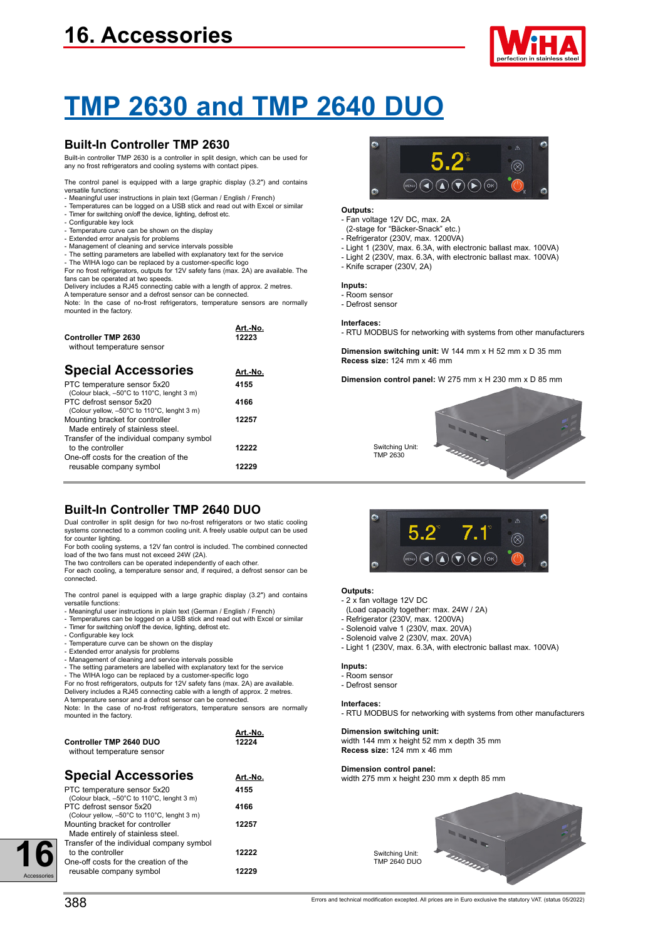# **16. Accessories**



# **TMP 2630 and TMP 2640 DUO**

# **Built-In Controller TMP 2630**

Built-in controller TMP 2630 is a controller in split design, which can be used for any no frost refrigerators and cooling systems with contact pipes.

The control panel is equipped with a large graphic display (3.2″) and contains versatile functions:

- Meaningful user instructions in plain text (German / English / French)
- Temperatures can be logged on a USB stick and read out with Excel or similar - Timer for switching on/off the device, lighting, defrost etc. - Configurable key lock
- 
- Temperature curve can be shown on the display
- Extended error analysis for problems
- Management of cleaning and service intervals possible
- The setting parameters are labelled with explanatory text for the service The WIHA logo can be replaced by a customer-specific logo

For no frost refrigerators, outputs for 12V safety fans (max. 2A) are available. The fans can be operated at two speeds.

Delivery includes a RJ45 connecting cable with a length of approx. 2 metres.

A temperature sensor and a defrost sensor can be connected. Note: In the case of no-frost refrigerators, temperature sensors are normally mounted in the factory.

| <b>Controller TMP 2630</b><br>without temperature sensor                  | Art.-No.<br>12223 |
|---------------------------------------------------------------------------|-------------------|
| <b>Special Accessories</b>                                                | Art.-No.          |
| PTC temperature sensor 5x20<br>(Colour black, -50°C to 110°C, lenght 3 m) | 4155              |
| PTC defrost sensor 5x20<br>(Colour yellow, -50°C to 110°C, lenght 3 m)    | 4166              |
| Mounting bracket for controller<br>Made entirely of stainless steel.      | 12257             |
| Transfer of the individual company symbol<br>to the controller            | 12222             |
| One-off costs for the creation of the<br>reusable company symbol          | 12229             |

# **Built-In Controller TMP 2640 DUO**

Dual controller in split design for two no-frost refrigerators or two static cooling systems connected to a common cooling unit. A freely usable output can be used for counter lighting.

For both cooling systems, a 12V fan control is included. The combined connected load of the two fans must not exceed 24W (2A).

The two controllers can be operated independently of each other. For each cooling, a temperature sensor and, if required, a defrost sensor can be connected.

The control panel is equipped with a large graphic display (3.2″) and contains versatile functions:

- Meaningful user instructions in plain text (German / English / French)

- Temperatures can be logged on a USB stick and read out with Excel or similar Timer for switching on/off the device, lighting, defrost etc.
- Configurable key lock
- Temperature curve can be shown on the display
- Extended error analysis for problems Management of cleaning and service intervals possible
- 

- The setting parameters are labelled with explanatory text for the service - The WIHA logo can be replaced by a customer-specific logo For no frost refrigerators, outputs for 12V safety fans (max. 2A) are available.

Delivery includes a RJ45 connecting cable with a length of approx. 2 metres. A temperature sensor and a defrost sensor can be connected.

Note: In the case of no-frost refrigerators, temperature sensors are normally mounted in the factory.

|                            | Art.-No. |
|----------------------------|----------|
| Controller TMP 2640 DUO    | 12224    |
| without temperature sensor |          |

| <b>Special Accessories</b>                  | Art.-No. |
|---------------------------------------------|----------|
| PTC temperature sensor 5x20                 | 4155     |
| (Colour black, -50°C to 110°C, lenght 3 m)  |          |
| PTC defrost sensor 5x20                     | 4166     |
| (Colour yellow, -50°C to 110°C, lenght 3 m) |          |
| Mounting bracket for controller             | 12257    |
| Made entirely of stainless steel.           |          |
| Transfer of the individual company symbol   |          |

to the controller **12222**

One-off costs for the creation of the

# $5.2^{\circ}$  $\circledR$  $(\mathbf{C})$   $(\mathbf{A})$   $(\mathbf{A})$   $(\mathbf{F})$   $(\mathbf{F})$   $(\infty)$

#### **Outputs:**

- Fan voltage 12V DC, max. 2A
- (2-stage for "Bäcker-Snack" etc.)
- Refrigerator (230V, max. 1200VA)
- Light 1 (230V, max. 6.3A, with electronic ballast max. 100VA)
- Light 2 (230V, max. 6.3A, with electronic ballast max. 100VA)
- Knife scraper (230V, 2A)

### **Inputs:**

- Room sensor
- Defrost sensor

#### **Interfaces:**

- RTU MODBUS for networking with systems from other manufacturers

**Dimension switching unit:** W 144 mm x H 52 mm x D 35 mm **Recess size:** 124 mm x 46 mm

**Dimension control panel:** W 275 mm x H 230 mm x D 85 mm







#### **Outputs:**

- 2 x fan voltage 12V DC
- (Load capacity together: max. 24W / 2A)
- Refrigerator (230V, max. 1200VA) - Solenoid valve 1 (230V, max. 20VA)
- 
- Solenoid valve 2 (230V, max. 20VA)
- Light 1 (230V, max. 6.3A, with electronic ballast max. 100VA)

#### **Inputs:**

- Room sensor
- Defrost sensor

#### **Interfaces:**

- RTU MODBUS for networking with systems from other manufacturers

#### **Dimension switching unit:**

width 144 mm x height 52 mm x depth 35 mm **Recess size:** 124 mm x 46 mm

#### **Dimension control panel:**

Switching Unit: TMP 2640 DUO

width 275 mm x height 230 mm x depth 85 mm